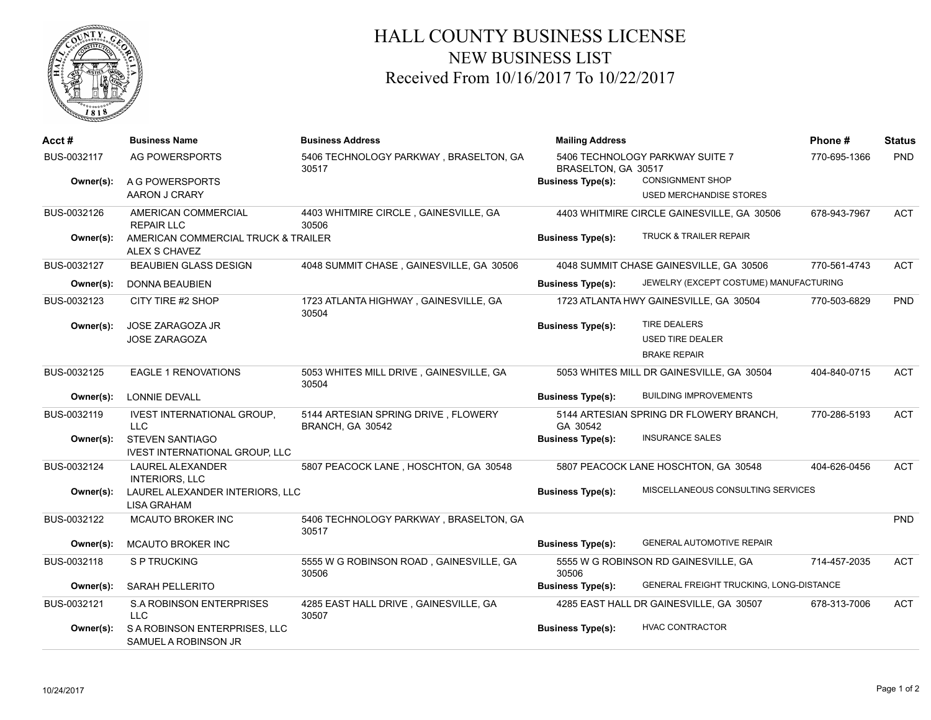

## HALL COUNTY BUSINESS LICENSE NEW BUSINESS LIST Received From 10/16/2017 To 10/22/2017

| Acct #      | <b>Business Name</b>                                 | <b>Business Address</b>                                 | <b>Mailing Address</b>                                 | Phone#                                         | <b>Status</b> |            |
|-------------|------------------------------------------------------|---------------------------------------------------------|--------------------------------------------------------|------------------------------------------------|---------------|------------|
| BUS-0032117 | AG POWERSPORTS                                       | 5406 TECHNOLOGY PARKWAY, BRASELTON, GA<br>30517         | 5406 TECHNOLOGY PARKWAY SUITE 7<br>BRASELTON, GA 30517 | 770-695-1366                                   | PND           |            |
| Owner(s):   | A G POWERSPORTS                                      |                                                         | <b>Business Type(s):</b>                               | <b>CONSIGNMENT SHOP</b>                        |               |            |
|             | AARON J CRARY                                        |                                                         |                                                        | <b>USED MERCHANDISE STORES</b>                 |               |            |
| BUS-0032126 | AMERICAN COMMERCIAL                                  | 4403 WHITMIRE CIRCLE, GAINESVILLE, GA                   |                                                        | 4403 WHITMIRE CIRCLE GAINESVILLE, GA 30506     | 678-943-7967  | <b>ACT</b> |
|             | <b>REPAIR LLC</b>                                    | 30506                                                   |                                                        |                                                |               |            |
| Owner(s):   | AMERICAN COMMERCIAL TRUCK & TRAILER<br>ALEX S CHAVEZ |                                                         | <b>Business Type(s):</b>                               | <b>TRUCK &amp; TRAILER REPAIR</b>              |               |            |
| BUS-0032127 | <b>BEAUBIEN GLASS DESIGN</b>                         | 4048 SUMMIT CHASE, GAINESVILLE, GA 30506                |                                                        | 4048 SUMMIT CHASE GAINESVILLE, GA 30506        | 770-561-4743  | <b>ACT</b> |
| Owner(s):   | DONNA BEAUBIEN                                       |                                                         | <b>Business Type(s):</b>                               | JEWELRY (EXCEPT COSTUME) MANUFACTURING         |               |            |
| BUS-0032123 | CITY TIRE #2 SHOP                                    | 1723 ATLANTA HIGHWAY, GAINESVILLE, GA                   |                                                        | 1723 ATLANTA HWY GAINESVILLE, GA 30504         | 770-503-6829  | PND        |
|             |                                                      | 30504                                                   |                                                        |                                                |               |            |
| Owner(s):   | JOSE ZARAGOZA JR                                     |                                                         | <b>Business Type(s):</b>                               | <b>TIRE DEALERS</b>                            |               |            |
|             | <b>JOSE ZARAGOZA</b>                                 |                                                         |                                                        | <b>USED TIRE DEALER</b>                        |               |            |
|             |                                                      |                                                         |                                                        | <b>BRAKE REPAIR</b>                            |               |            |
| BUS-0032125 | <b>EAGLE 1 RENOVATIONS</b>                           | 5053 WHITES MILL DRIVE, GAINESVILLE, GA<br>30504        |                                                        | 5053 WHITES MILL DR GAINESVILLE, GA 30504      | 404-840-0715  | <b>ACT</b> |
| Owner(s):   | LONNIE DEVALL                                        |                                                         | <b>Business Type(s):</b>                               | <b>BUILDING IMPROVEMENTS</b>                   |               |            |
| BUS-0032119 | <b>IVEST INTERNATIONAL GROUP,</b><br><b>LLC</b>      | 5144 ARTESIAN SPRING DRIVE, FLOWERY<br>BRANCH, GA 30542 | GA 30542                                               | 5144 ARTESIAN SPRING DR FLOWERY BRANCH,        | 770-286-5193  | <b>ACT</b> |
| Owner(s):   | <b>STEVEN SANTIAGO</b>                               |                                                         | <b>Business Type(s):</b>                               | <b>INSURANCE SALES</b>                         |               |            |
|             | <b>IVEST INTERNATIONAL GROUP, LLC</b>                |                                                         |                                                        |                                                |               |            |
| BUS-0032124 | <b>LAUREL ALEXANDER</b><br><b>INTERIORS, LLC</b>     | 5807 PEACOCK LANE, HOSCHTON, GA 30548                   |                                                        | 5807 PEACOCK LANE HOSCHTON, GA 30548           | 404-626-0456  | <b>ACT</b> |
| Owner(s):   | LAUREL ALEXANDER INTERIORS, LLC<br>LISA GRAHAM       |                                                         | <b>Business Type(s):</b>                               | MISCELLANEOUS CONSULTING SERVICES              |               |            |
| BUS-0032122 | MCAUTO BROKER INC                                    | 5406 TECHNOLOGY PARKWAY, BRASELTON, GA<br>30517         |                                                        |                                                |               | <b>PND</b> |
| Owner(s):   | <b>MCAUTO BROKER INC</b>                             |                                                         | <b>Business Type(s):</b>                               | <b>GENERAL AUTOMOTIVE REPAIR</b>               |               |            |
| BUS-0032118 | S P TRUCKING                                         | 5555 W G ROBINSON ROAD, GAINESVILLE, GA<br>30506        | 30506                                                  | 5555 W G ROBINSON RD GAINESVILLE, GA           | 714-457-2035  | <b>ACT</b> |
| Owner(s):   | SARAH PELLERITO                                      |                                                         | <b>Business Type(s):</b>                               | <b>GENERAL FREIGHT TRUCKING, LONG-DISTANCE</b> |               |            |
| BUS-0032121 | <b>S.A ROBINSON ENTERPRISES</b><br><b>LLC</b>        | 4285 EAST HALL DRIVE, GAINESVILLE, GA<br>30507          |                                                        | 4285 EAST HALL DR GAINESVILLE, GA 30507        | 678-313-7006  | <b>ACT</b> |
| Owner(s):   | S A ROBINSON ENTERPRISES, LLC                        |                                                         | <b>Business Type(s):</b>                               | <b>HVAC CONTRACTOR</b>                         |               |            |
|             | SAMUEL A ROBINSON JR                                 |                                                         |                                                        |                                                |               |            |